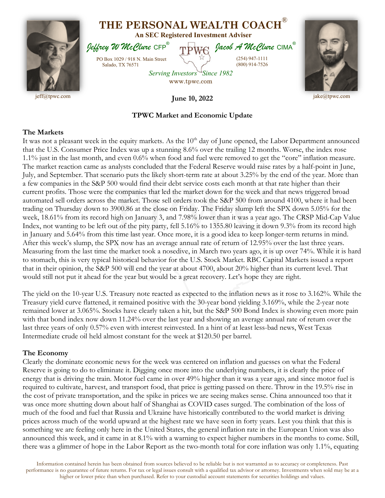

## **TPWC Market and Economic Update**

## **The Markets**

It was not a pleasant week in the equity markets. As the 10<sup>th</sup> day of June opened, the Labor Department announced that the U.S. Consumer Price Index was up a stunning 8.6% over the trailing 12 months. Worse, the index rose 1.1% just in the last month, and even 0.6% when food and fuel were removed to get the "core" inflation measure. The market reaction came as analysts concluded that the Federal Reserve would raise rates by a half-point in June, July, and September. That scenario puts the likely short-term rate at about 3.25% by the end of the year. More than a few companies in the S&P 500 would find their debt service costs each month at that rate higher than their current profits. Those were the companies that led the market down for the week and that news triggered broad automated sell orders across the market. Those sell orders took the S&P 500 from around 4100, where it had been trading on Thursday down to 3900.86 at the close on Friday. The Friday slump left the SPX down 5.05% for the week, 18.61% from its record high on January 3, and 7.98% lower than it was a year ago. The CRSP Mid-Cap Value Index, not wanting to be left out of the pity party, fell 5.16% to 1355.80 leaving it down 9.3% from its record high in January and 5.64% from this time last year. Once more, it is a good idea to keep longer-term returns in mind. After this week's slump, the SPX now has an average annual rate of return of 12.95% over the last three years. Measuring from the last time the market took a nosedive, in March two years ago, it is up over 74%. While it is hard to stomach, this is very typical historical behavior for the U.S. Stock Market. RBC Capital Markets issued a report that in their opinion, the S&P 500 will end the year at about 4700, about 20% higher than its current level. That would still not put it ahead for the year but would be a great recovery. Let's hope they are right.

The yield on the 10-year U.S. Treasury note reacted as expected to the inflation news as it rose to 3.162%. While the Treasury yield curve flattened, it remained positive with the 30-year bond yielding 3.169%, while the 2-year note remained lower at 3.065%. Stocks have clearly taken a hit, but the S&P 500 Bond Index is showing even more pain with that bond index now down 11.24% over the last year and showing an average annual rate of return over the last three years of only 0.57% even with interest reinvested. In a hint of at least less-bad news, West Texas Intermediate crude oil held almost constant for the week at \$120.50 per barrel.

## **The Economy**

Clearly the dominate economic news for the week was centered on inflation and guesses on what the Federal Reserve is going to do to eliminate it. Digging once more into the underlying numbers, it is clearly the price of energy that is driving the train. Motor fuel came in over 49% higher than it was a year ago, and since motor fuel is required to cultivate, harvest, and transport food, that price is getting passed on there. Throw in the 19.5% rise in the cost of private transportation, and the spike in prices we are seeing makes sense. China announced too that it was once more shutting down about half of Shanghai as COVID cases surged. The combination of the loss of much of the food and fuel that Russia and Ukraine have historically contributed to the world market is driving prices across much of the world upward at the highest rate we have seen in forty years. Lest you think that this is something we are feeling only here in the United States, the general inflation rate in the European Union was also announced this week, and it came in at 8.1% with a warning to expect higher numbers in the months to come. Still, there was a glimmer of hope in the Labor Report as the two-month total for core inflation was only 1.1%, equating